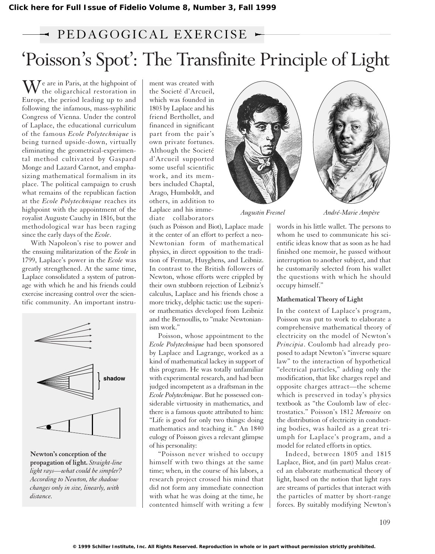## 'Poisson's Spot': The Transfinite Principle of Light  $\rightarrow$  PEDAGOGICAL EXERCISE  $\rightarrow$

 $\mathbf{W}^{\text{e}}$  are in Paris, at the highpoint of the oligarchical restoration in Europe, the period leading up to and following the infamous, mass-syphilitic Congress of Vienna. Under the control of Laplace, the educational curriculum of the famous *Ecole Polytechnique* is being turned upside-down, virtually eliminating the geometrical-experimental method cultivated by Gaspard Monge and Lazard Carnot, and emphasizing mathematical formalism in its place. The political campaign to crush what remains of the republican faction at the *Ecole Polytechnique* reaches its highpoint with the appointment of the royalist Auguste Cauchy in 1816, but the methodological war has been raging since the early days of the *Ecole*.

With Napoleon's rise to power and the ensuing militarization of the *Ecole* in 1799, Laplace's power in the *Ecole* was greatly strengthened. At the same time, Laplace consolidated a system of patron-Explace consolidated a system of pation of rewe<br>age with which he and his friends could their exercise increasing control over the scien-<br>
alculus tific community. An important instru-FIGURE 1 **s mpler?**



**Newton's conception of the propagation of light.** *Straight-line light rays—what could be simpler? According to Newton, the shadow changes only in size, linearly, with distance.*

ment was created with the Societé d'Arcueil, which was founded in 1803 by Laplace and his friend Berthollet, and financed in significant part from the pair's own private fortunes. Although the Societé d'Arcueil supported some useful scientific work, and its members included Chaptal, Arago, Humboldt, and others, in addition to Laplace and his immediate collaborators

(such as Poisson and Biot), Laplace made it the center of an effort to perfect a neo-Newtonian form of mathematical physics, in direct opposition to the tradition of Fermat, Huyghens, and Leibniz. In contrast to the British followers of Newton, whose efforts were crippled by their own stubborn rejection of Leibniz's calculus, Laplace and his friends chose a more tricky, delphic tactic: use the superior mathematics developed from Leibniz and the Bernoullis, to "make Newtonianism work."

Poisson, whose appointment to the *Ecole Polytechnique* had been sponsored by Laplace and Lagrange, worked as a kind of mathematical lackey in support of this program. He was totally unfamiliar with experimental research, and had been judged incompetent as a draftsman in the *Ecole Polytechnique*. But he possessed considerable virtuosity in mathematics, and there is a famous quote attributed to him: "Life is good for only two things: doing mathematics and teaching it." An 1840 eulogy of Poisson gives a relevant glimpse of his personality:

"Poisson never wished to occupy himself with two things at the same time; when, in the course of his labors, a research project crossed his mind that did not form any immediate connection with what he was doing at the time, he contented himself with writing a few





*Augustin Fresnel André-Marie Ampère*

words in his little wallet. The persons to whom he used to communicate his scientific ideas know that as soon as he had finished one memoir, he passed without interruption to another subject, and that he customarily selected from his wallet the questions with which he should occupy himself."

### **Mathematical Theory of Light**

In the context of Laplace's program, Poisson was put to work to elaborate a comprehensive mathematical theory of electricity on the model of Newton's *Principia*. Coulomb had already proposed to adapt Newton's "inverse square law" to the interaction of hypothetical "electrical particles," adding only the modification, that like charges repel and opposite charges attract—the scheme which is preserved in today's physics textbook as "the Coulomb law of electrostatics." Poisson's 1812 *Memoire* on the distribution of electricity in conducting bodies, was hailed as a great triumph for Laplace's program, and a model for related efforts in optics.

Indeed, between 1805 and 1815 Laplace, Biot, and (in part) Malus created an elaborate mathematical theory of light, based on the notion that light rays are streams of particles that interact with the particles of matter by short-range forces. By suitably modifying Newton's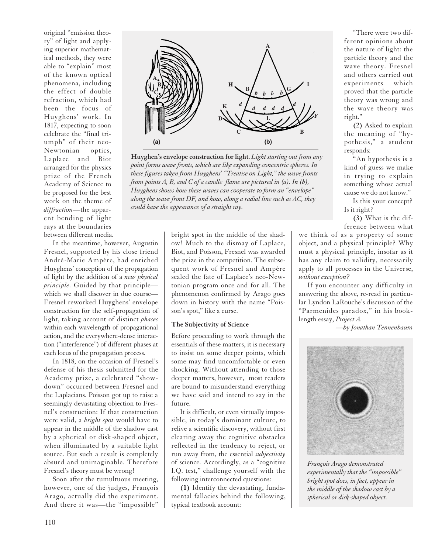original "emission theory" of light and applying superior mathematical methods, they were able to "explain" most of the known optical phenomena, including the effect of double refraction, which had been the focus of Huyghens' work. In 1817, expecting to soon celebrate the "final triumph" of their neo-Newtonian optics, Laplace and Biot arranged for the physics prize of the French Academy of Science to be proposed for the best work on the theme of *diffraction*—the apparent bending of light rays at the boundaries between different media.

In the meantime, however, Augustin Fresnel, supported by his close friend André-Marie Ampère, had enriched Huyghens' conception of the propagation of light by the addition of a *new physical principle.* Guided by that principle which we shall discover in due course— Fresnel reworked Huyghens' envelope construction for the self-propagation of light, taking account of distinct *phases* within each wavelength of propagational action, and the everywhere-dense interaction ("interference") of different phases at each locus of the propagation process.

In 1818, on the occasion of Fresnel's defense of his thesis submitted for the Academy prize, a celebrated "showdown" occurred between Fresnel and the Laplacians. Poisson got up to raise a seemingly devastating objection to Fresnel's construction: If that construction were valid, a *bright spot* would have to appear in the middle of the shadow cast by a spherical or disk-shaped object, when illuminated by a suitable light source. But such a result is completely absurd and unimaginable. Therefore Fresnel's theory must be wrong!

Soon after the tumultuous meeting, however, one of the judges, François Arago, actually did the experiment. And there it was—the "impossible"



**Huyghen's envelope construction for light.** *Light starting out from any point forms wave fronts, which are like expanding concentric spheres. In these figures taken from Huyghens' "Treatise on Light," the wave fronts from points A, B, and C of a candle flame are pictured in (a). In (b), Huyghens shows how these waves can cooperate to form an "envelope" along the wave front DF, and how, along a radial line such as AC, they could have the appearance of a straight ray.*

bright spot in the middle of the shadow! Much to the dismay of Laplace, Biot, and Poisson, Fresnel was awarded the prize in the competition. The subsequent work of Fresnel and Ampère sealed the fate of Laplace's neo-Newtonian program once and for all. The phenomenon confirmed by Arago goes down in history with the name "Poisson's spot," like a curse.

#### **The Subjectivity of Science**

Before proceeding to work through the essentials of these matters, it is necessary to insist on some deeper points, which some may find uncomfortable or even shocking. Without attending to those deeper matters, however, most readers are bound to misunderstand everything we have said and intend to say in the future.

It is difficult, or even virtually impossible, in today's dominant culture, to relive a scientific discovery, without first clearing away the cognitive obstacles reflected in the tendency to reject, or run away from, the essential *subjectivity* of science. Accordingly, as a "cognitive I.Q. test," challenge yourself with the following interconnected questions:

**(1)** Identify the devastating, fundamental fallacies behind the following, typical textbook account:

"There were two different opinions about the nature of light: the particle theory and the wave theory. Fresnel and others carried out experiments which proved that the particle theory was wrong and the wave theory was right."

**(2)** Asked to explain the meaning of "hypothesis," a student responds:

"An hypothesis is a kind of guess we make in trying to explain something whose actual cause we do not know."

Is this your concept? Is it right?

**(3)** What is the difference between what

we think of as a property of some object, and a physical principle? Why must a physical principle, insofar as it has any claim to validity, necessarily apply to all processes in the Universe, *without exception?*

If you encounter any difficulty in answering the above, re-read in particular Lyndon LaRouche's discussion of the "Parmenides paradox," in his booklength essay, *Project A.*

*—by Jonathan Tennenbaum*



*François Arago demonstrated experimentally that the "impossible" bright spot does, in fact, appear in the middle of the shadow cast by a spherical or disk-shaped object.*